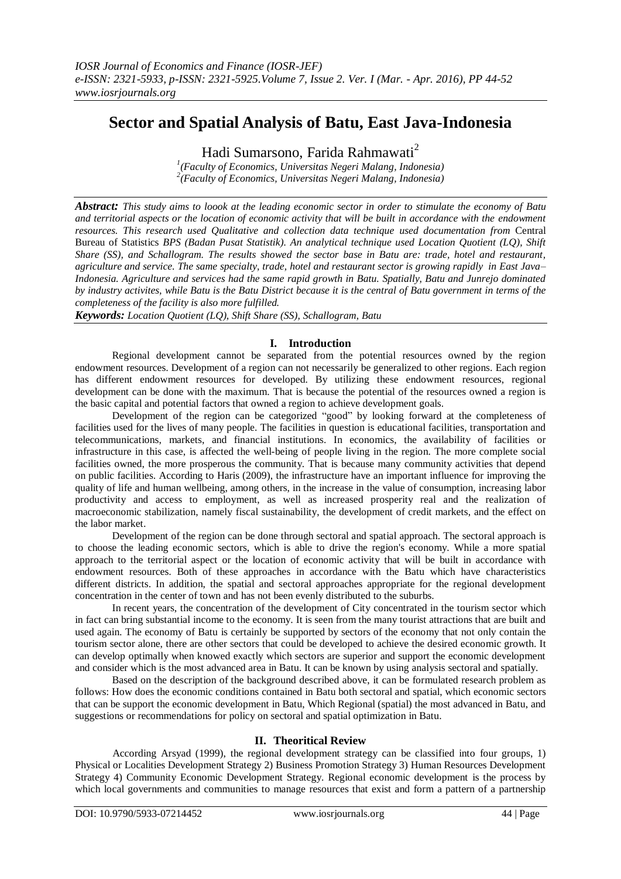# **Sector and Spatial Analysis of Batu, East Java-Indonesia**

Hadi Sumarsono, Farida Rahmawati<sup>2</sup>

*1 (Faculty of Economics, Universitas Negeri Malang, Indonesia) 2 (Faculty of Economics, Universitas Negeri Malang, Indonesia)*

*Abstract: This study aims to loook at the leading economic sector in order to stimulate the economy of Batu and territorial aspects or the location of economic activity that will be built in accordance with the endowment resources. This research used Qualitative and collection data technique used documentation from* Central Bureau of Statistics *BPS (Badan Pusat Statistik). An analytical technique used Location Quotient (LQ), Shift Share (SS), and Schallogram. The results showed the sector base in Batu are: trade, hotel and restaurant, agriculture and service. The same specialty, trade, hotel and restaurant sector is growing rapidly in East Java– Indonesia. Agriculture and services had the same rapid growth in Batu. Spatially, Batu and Junrejo dominated by industry activites, while Batu is the Batu District because it is the central of Batu government in terms of the completeness of the facility is also more fulfilled.*

*Keywords: Location Quotient (LQ), Shift Share (SS), Schallogram, Batu*

# **I. Introduction**

Regional development cannot be separated from the potential resources owned by the region endowment resources. Development of a region can not necessarily be generalized to other regions. Each region has different endowment resources for developed. By utilizing these endowment resources, regional development can be done with the maximum. That is because the potential of the resources owned a region is the basic capital and potential factors that owned a region to achieve development goals.

Development of the region can be categorized "good" by looking forward at the completeness of facilities used for the lives of many people. The facilities in question is educational facilities, transportation and telecommunications, markets, and financial institutions. In economics, the availability of facilities or infrastructure in this case, is affected the well-being of people living in the region. The more complete social facilities owned, the more prosperous the community. That is because many community activities that depend on public facilities. According to Haris (2009), the infrastructure have an important influence for improving the quality of life and human wellbeing, among others, in the increase in the value of consumption, increasing labor productivity and access to employment, as well as increased prosperity real and the realization of macroeconomic stabilization, namely fiscal sustainability, the development of credit markets, and the effect on the labor market.

Development of the region can be done through sectoral and spatial approach. The sectoral approach is to choose the leading economic sectors, which is able to drive the region's economy. While a more spatial approach to the territorial aspect or the location of economic activity that will be built in accordance with endowment resources. Both of these approaches in accordance with the Batu which have characteristics different districts. In addition, the spatial and sectoral approaches appropriate for the regional development concentration in the center of town and has not been evenly distributed to the suburbs.

In recent years, the concentration of the development of City concentrated in the tourism sector which in fact can bring substantial income to the economy. It is seen from the many tourist attractions that are built and used again. The economy of Batu is certainly be supported by sectors of the economy that not only contain the tourism sector alone, there are other sectors that could be developed to achieve the desired economic growth. It can develop optimally when knowed exactly which sectors are superior and support the economic development and consider which is the most advanced area in Batu. It can be known by using analysis sectoral and spatially.

Based on the description of the background described above, it can be formulated research problem as follows: How does the economic conditions contained in Batu both sectoral and spatial, which economic sectors that can be support the economic development in Batu, Which Regional (spatial) the most advanced in Batu, and suggestions or recommendations for policy on sectoral and spatial optimization in Batu.

# **II. Theoritical Review**

According Arsyad (1999), the regional development strategy can be classified into four groups, 1) Physical or Localities Development Strategy 2) Business Promotion Strategy 3) Human Resources Development Strategy 4) Community Economic Development Strategy. Regional economic development is the process by which local governments and communities to manage resources that exist and form a pattern of a partnership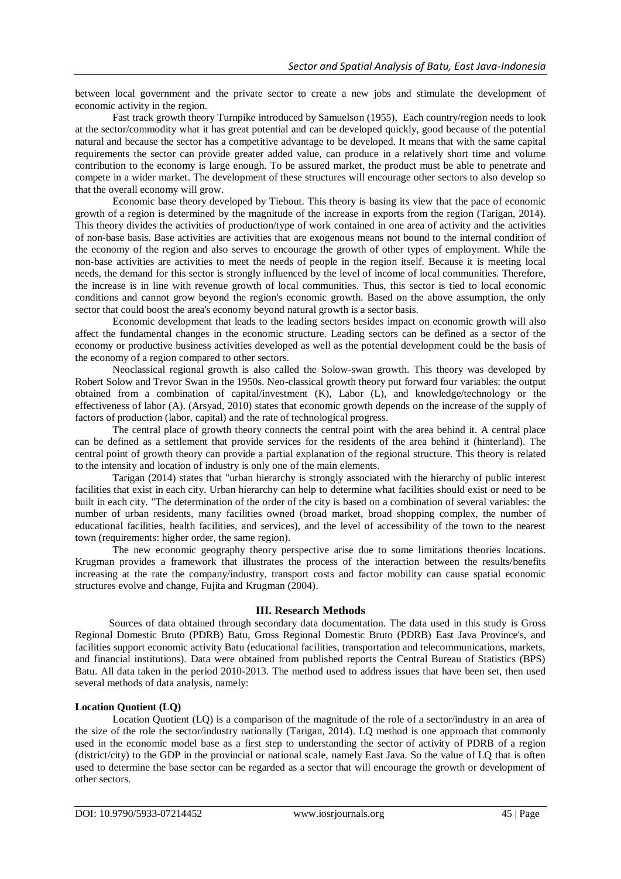between local government and the private sector to create a new jobs and stimulate the development of economic activity in the region.

Fast track growth theory Turnpike introduced by Samuelson (1955), Each country/region needs to look at the sector/commodity what it has great potential and can be developed quickly, good because of the potential natural and because the sector has a competitive advantage to be developed. It means that with the same capital requirements the sector can provide greater added value, can produce in a relatively short time and volume contribution to the economy is large enough. To be assured market, the product must be able to penetrate and compete in a wider market. The development of these structures will encourage other sectors to also develop so that the overall economy will grow.

Economic base theory developed by Tiebout. This theory is basing its view that the pace of economic growth of a region is determined by the magnitude of the increase in exports from the region (Tarigan, 2014). This theory divides the activities of production/type of work contained in one area of activity and the activities of non-base basis. Base activities are activities that are exogenous means not bound to the internal condition of the economy of the region and also serves to encourage the growth of other types of employment. While the non-base activities are activities to meet the needs of people in the region itself. Because it is meeting local needs, the demand for this sector is strongly influenced by the level of income of local communities. Therefore, the increase is in line with revenue growth of local communities. Thus, this sector is tied to local economic conditions and cannot grow beyond the region's economic growth. Based on the above assumption, the only sector that could boost the area's economy beyond natural growth is a sector basis.

Economic development that leads to the leading sectors besides impact on economic growth will also affect the fundamental changes in the economic structure. Leading sectors can be defined as a sector of the economy or productive business activities developed as well as the potential development could be the basis of the economy of a region compared to other sectors.

Neoclassical regional growth is also called the Solow-swan growth. This theory was developed by Robert Solow and Trevor Swan in the 1950s. Neo-classical growth theory put forward four variables: the output obtained from a combination of capital/investment (K), Labor (L), and knowledge/technology or the effectiveness of labor (A). (Arsyad, 2010) states that economic growth depends on the increase of the supply of factors of production (labor, capital) and the rate of technological progress.

The central place of growth theory connects the central point with the area behind it. A central place can be defined as a settlement that provide services for the residents of the area behind it (hinterland). The central point of growth theory can provide a partial explanation of the regional structure. This theory is related to the intensity and location of industry is only one of the main elements.

Tarigan (2014) states that "urban hierarchy is strongly associated with the hierarchy of public interest facilities that exist in each city. Urban hierarchy can help to determine what facilities should exist or need to be built in each city. "The determination of the order of the city is based on a combination of several variables: the number of urban residents, many facilities owned (broad market, broad shopping complex, the number of educational facilities, health facilities, and services), and the level of accessibility of the town to the nearest town (requirements: higher order, the same region).

The new economic geography theory perspective arise due to some limitations theories locations. Krugman provides a framework that illustrates the process of the interaction between the results/benefits increasing at the rate the company/industry, transport costs and factor mobility can cause spatial economic structures evolve and change, Fujita and Krugman (2004).

# **III. Research Methods**

Sources of data obtained through secondary data documentation. The data used in this study is Gross Regional Domestic Bruto (PDRB) Batu, Gross Regional Domestic Bruto (PDRB) East Java Province's, and facilities support economic activity Batu (educational facilities, transportation and telecommunications, markets, and financial institutions). Data were obtained from published reports the Central Bureau of Statistics (BPS) Batu. All data taken in the period 2010-2013. The method used to address issues that have been set, then used several methods of data analysis, namely:

# **Location Quotient (LQ)**

Location Quotient (LQ) is a comparison of the magnitude of the role of a sector/industry in an area of the size of the role the sector/industry nationally (Tarigan, 2014). LQ method is one approach that commonly used in the economic model base as a first step to understanding the sector of activity of PDRB of a region (district/city) to the GDP in the provincial or national scale, namely East Java. So the value of LQ that is often used to determine the base sector can be regarded as a sector that will encourage the growth or development of other sectors.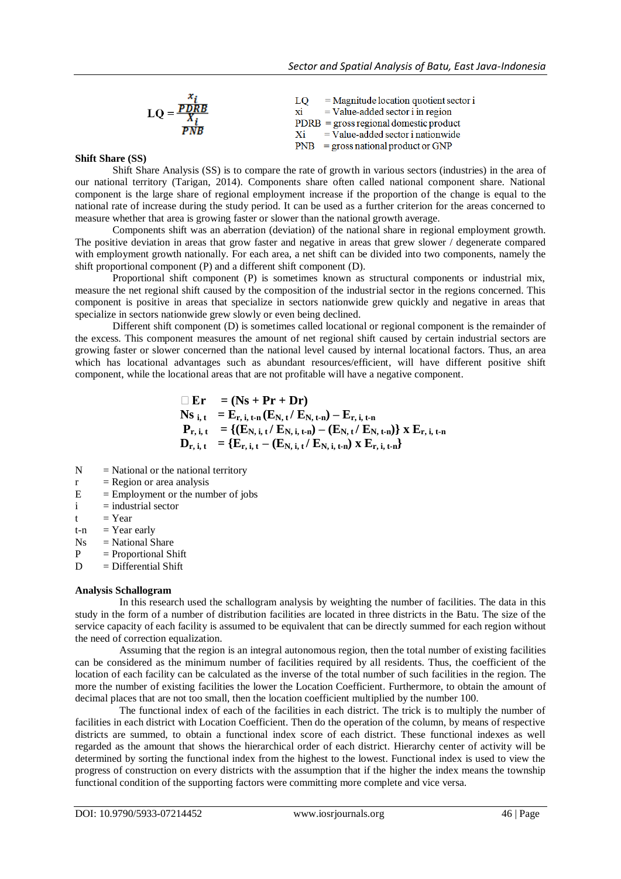| $=$ Magnitude location quotient sector i<br>LO.<br>$=$ Value-added sector i in region<br>$PDRB = gross regional domestic product$<br>$=$ Value-added sector i nationwide<br>$PNB = gross$ national product or GNP |
|-------------------------------------------------------------------------------------------------------------------------------------------------------------------------------------------------------------------|
|                                                                                                                                                                                                                   |

#### **Shift Share (SS)**

Shift Share Analysis (SS) is to compare the rate of growth in various sectors (industries) in the area of our national territory (Tarigan, 2014). Components share often called national component share. National component is the large share of regional employment increase if the proportion of the change is equal to the national rate of increase during the study period. It can be used as a further criterion for the areas concerned to measure whether that area is growing faster or slower than the national growth average.

Components shift was an aberration (deviation) of the national share in regional employment growth. The positive deviation in areas that grow faster and negative in areas that grew slower / degenerate compared with employment growth nationally. For each area, a net shift can be divided into two components, namely the shift proportional component (P) and a different shift component (D).

Proportional shift component (P) is sometimes known as structural components or industrial mix, measure the net regional shift caused by the composition of the industrial sector in the regions concerned. This component is positive in areas that specialize in sectors nationwide grew quickly and negative in areas that specialize in sectors nationwide grew slowly or even being declined.

Different shift component (D) is sometimes called locational or regional component is the remainder of the excess. This component measures the amount of net regional shift caused by certain industrial sectors are growing faster or slower concerned than the national level caused by internal locational factors. Thus, an area which has locational advantages such as abundant resources/efficient, will have different positive shift component, while the locational areas that are not profitable will have a negative component.

$$
\begin{array}{ll}\n\Box \ E r & = (Ns + Pr + Dr) \\
Ns_{i,t} & = E_{r,i,t-n}(E_{N,t}/E_{N,t-n}) - E_{r,i,t-n} \\
P_{r,i,t} & = \{(E_{N,i,t}/E_{N,i,t-n}) - (E_{N,t}/E_{N,t-n})\} \times E_{r,i,t-n} \\
D_{r,i,t} & = \{E_{r,i,t} - (E_{N,i,t}/E_{N,i,t-n}) \times E_{r,i,t-n}\}\n\end{array}
$$

- $N = National or the national territory$
- $r =$ Region or area analysis
- $E =$  Employment or the number of jobs
- $i =$  industrial sector
- $t = Year$
- $t-n = Year$  early
- $Ns = National Share$
- $P =$ Proportional Shift
- $D = D$  ifferential Shift

#### **Analysis Schallogram**

In this research used the schallogram analysis by weighting the number of facilities. The data in this study in the form of a number of distribution facilities are located in three districts in the Batu. The size of the service capacity of each facility is assumed to be equivalent that can be directly summed for each region without the need of correction equalization.

Assuming that the region is an integral autonomous region, then the total number of existing facilities can be considered as the minimum number of facilities required by all residents. Thus, the coefficient of the location of each facility can be calculated as the inverse of the total number of such facilities in the region. The more the number of existing facilities the lower the Location Coefficient. Furthermore, to obtain the amount of decimal places that are not too small, then the location coefficient multiplied by the number 100.

The functional index of each of the facilities in each district. The trick is to multiply the number of facilities in each district with Location Coefficient. Then do the operation of the column, by means of respective districts are summed, to obtain a functional index score of each district. These functional indexes as well regarded as the amount that shows the hierarchical order of each district. Hierarchy center of activity will be determined by sorting the functional index from the highest to the lowest. Functional index is used to view the progress of construction on every districts with the assumption that if the higher the index means the township functional condition of the supporting factors were committing more complete and vice versa.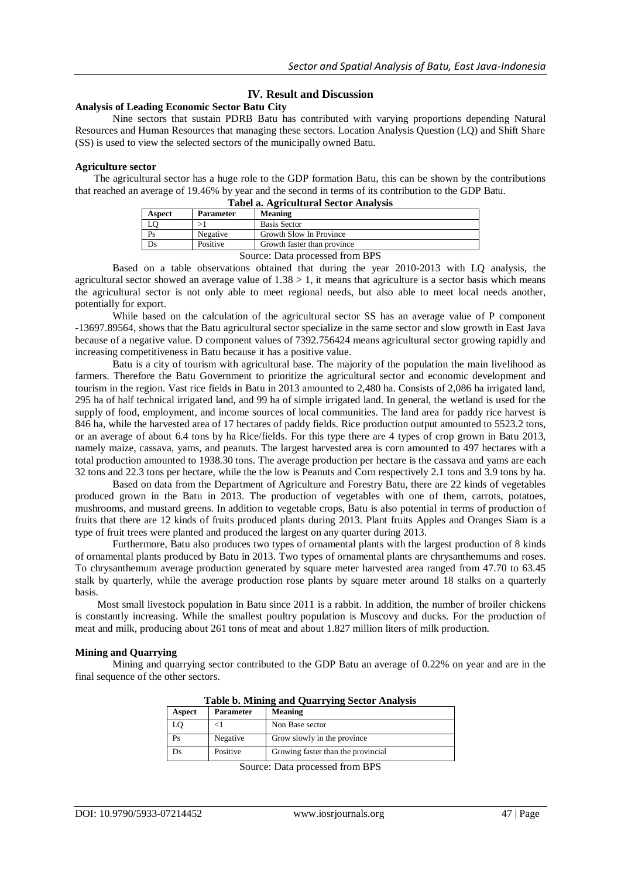# **IV. Result and Discussion**

## **Analysis of Leading Economic Sector Batu City**

Nine sectors that sustain PDRB Batu has contributed with varying proportions depending Natural Resources and Human Resources that managing these sectors. Location Analysis Question (LQ) and Shift Share (SS) is used to view the selected sectors of the municipally owned Batu.

#### **Agriculture sector**

potentially for export.

The agricultural sector has a huge role to the GDP formation Batu, this can be shown by the contributions that reached an average of 19.46% by year and the second in terms of its contribution to the GDP Batu.

|                                 |                  | Tabel a. Agricultural Sector Analysis |
|---------------------------------|------------------|---------------------------------------|
| Aspect                          | <b>Parameter</b> | Meaning                               |
| LO                              |                  | <b>Basis Sector</b>                   |
| Ps                              | Negative         | Growth Slow In Province               |
| Ds                              | Positive         | Growth faster than province           |
| Source: Data processed from BPS |                  |                                       |

Based on a table observations obtained that during the year 2010-2013 with LQ analysis, the agricultural sector showed an average value of  $1.38 > 1$ , it means that agriculture is a sector basis which means the agricultural sector is not only able to meet regional needs, but also able to meet local needs another,

While based on the calculation of the agricultural sector SS has an average value of P component -13697.89564, shows that the Batu agricultural sector specialize in the same sector and slow growth in East Java because of a negative value. D component values of 7392.756424 means agricultural sector growing rapidly and increasing competitiveness in Batu because it has a positive value.

Batu is a city of tourism with agricultural base. The majority of the population the main livelihood as farmers. Therefore the Batu Government to prioritize the agricultural sector and economic development and tourism in the region. Vast rice fields in Batu in 2013 amounted to 2,480 ha. Consists of 2,086 ha irrigated land, 295 ha of half technical irrigated land, and 99 ha of simple irrigated land. In general, the wetland is used for the supply of food, employment, and income sources of local communities. The land area for paddy rice harvest is 846 ha, while the harvested area of 17 hectares of paddy fields. Rice production output amounted to 5523.2 tons, or an average of about 6.4 tons by ha Rice/fields. For this type there are 4 types of crop grown in Batu 2013, namely maize, cassava, yams, and peanuts. The largest harvested area is corn amounted to 497 hectares with a total production amounted to 1938.30 tons. The average production per hectare is the cassava and yams are each 32 tons and 22.3 tons per hectare, while the the low is Peanuts and Corn respectively 2.1 tons and 3.9 tons by ha.

Based on data from the Department of Agriculture and Forestry Batu, there are 22 kinds of vegetables produced grown in the Batu in 2013. The production of vegetables with one of them, carrots, potatoes, mushrooms, and mustard greens. In addition to vegetable crops, Batu is also potential in terms of production of fruits that there are 12 kinds of fruits produced plants during 2013. Plant fruits Apples and Oranges Siam is a type of fruit trees were planted and produced the largest on any quarter during 2013.

Furthermore, Batu also produces two types of ornamental plants with the largest production of 8 kinds of ornamental plants produced by Batu in 2013. Two types of ornamental plants are chrysanthemums and roses. To chrysanthemum average production generated by square meter harvested area ranged from 47.70 to 63.45 stalk by quarterly, while the average production rose plants by square meter around 18 stalks on a quarterly basis.

Most small livestock population in Batu since 2011 is a rabbit. In addition, the number of broiler chickens is constantly increasing. While the smallest poultry population is Muscovy and ducks. For the production of meat and milk, producing about 261 tons of meat and about 1.827 million liters of milk production.

#### **Mining and Quarrying**

Mining and quarrying sector contributed to the GDP Batu an average of 0.22% on year and are in the final sequence of the other sectors.

| Aspect | <b>Parameter</b> | <b>Meaning</b>                     |
|--------|------------------|------------------------------------|
|        |                  | Non Base sector                    |
| Ps     | Negative         | Grow slowly in the province        |
|        | Positive         | Growing faster than the provincial |

**Table b. Mining and Quarrying Sector Analysis**

Source: Data processed from BPS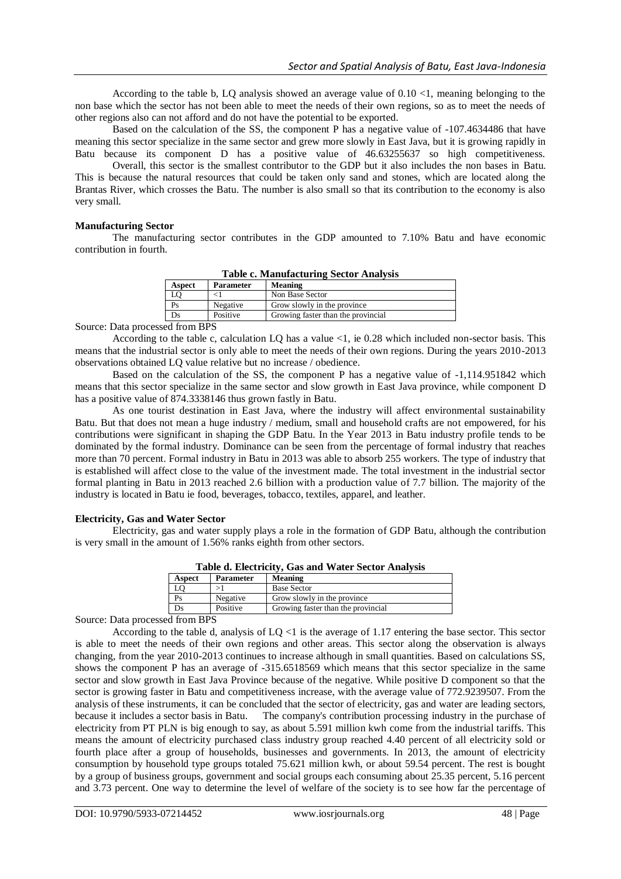According to the table b, LQ analysis showed an average value of  $0.10 \le l$ , meaning belonging to the non base which the sector has not been able to meet the needs of their own regions, so as to meet the needs of other regions also can not afford and do not have the potential to be exported.

Based on the calculation of the SS, the component P has a negative value of -107.4634486 that have meaning this sector specialize in the same sector and grew more slowly in East Java, but it is growing rapidly in Batu because its component D has a positive value of 46.63255637 so high competitiveness.

Overall, this sector is the smallest contributor to the GDP but it also includes the non bases in Batu. This is because the natural resources that could be taken only sand and stones, which are located along the Brantas River, which crosses the Batu. The number is also small so that its contribution to the economy is also very small.

## **Manufacturing Sector**

The manufacturing sector contributes in the GDP amounted to 7.10% Batu and have economic contribution in fourth.

| <b>Table c. Manufacturing Sector Analysis</b> |  |
|-----------------------------------------------|--|
|                                               |  |

| <b>Aspect</b> | <b>Parameter</b> | <b>Meaning</b>                     |
|---------------|------------------|------------------------------------|
|               |                  | Non Base Sector                    |
| Ps            | Negative         | Grow slowly in the province        |
|               | Positive         | Growing faster than the provincial |
|               |                  |                                    |

Source: Data processed from BPS

According to the table c, calculation LQ has a value <1, ie 0.28 which included non-sector basis. This means that the industrial sector is only able to meet the needs of their own regions. During the years 2010-2013 observations obtained LQ value relative but no increase / obedience.

Based on the calculation of the SS, the component P has a negative value of -1,114.951842 which means that this sector specialize in the same sector and slow growth in East Java province, while component D has a positive value of 874.3338146 thus grown fastly in Batu.

As one tourist destination in East Java, where the industry will affect environmental sustainability Batu. But that does not mean a huge industry / medium, small and household crafts are not empowered, for his contributions were significant in shaping the GDP Batu. In the Year 2013 in Batu industry profile tends to be dominated by the formal industry. Dominance can be seen from the percentage of formal industry that reaches more than 70 percent. Formal industry in Batu in 2013 was able to absorb 255 workers. The type of industry that is established will affect close to the value of the investment made. The total investment in the industrial sector formal planting in Batu in 2013 reached 2.6 billion with a production value of 7.7 billion. The majority of the industry is located in Batu ie food, beverages, tobacco, textiles, apparel, and leather.

## **Electricity, Gas and Water Sector**

Electricity, gas and water supply plays a role in the formation of GDP Batu, although the contribution is very small in the amount of 1.56% ranks eighth from other sectors.

| Table a. Ekenheley, Gas and Water Sector Analysis |                  |                                    |
|---------------------------------------------------|------------------|------------------------------------|
| Aspect                                            | <b>Parameter</b> | <b>Meaning</b>                     |
|                                                   |                  | <b>Base Sector</b>                 |
| Ps                                                | Negative         | Grow slowly in the province        |
| Ds                                                | Positive         | Growing faster than the provincial |

**Table d. Electricity, Gas and Water Sector Analysis**

Source: Data processed from BPS

According to the table d, analysis of  $LQ < 1$  is the average of 1.17 entering the base sector. This sector is able to meet the needs of their own regions and other areas. This sector along the observation is always changing, from the year 2010-2013 continues to increase although in small quantities. Based on calculations SS, shows the component P has an average of -315.6518569 which means that this sector specialize in the same sector and slow growth in East Java Province because of the negative. While positive D component so that the sector is growing faster in Batu and competitiveness increase, with the average value of 772.9239507. From the analysis of these instruments, it can be concluded that the sector of electricity, gas and water are leading sectors, because it includes a sector basis in Batu. The company's contribution processing industry in the purchase of electricity from PT PLN is big enough to say, as about 5.591 million kwh come from the industrial tariffs. This means the amount of electricity purchased class industry group reached 4.40 percent of all electricity sold or fourth place after a group of households, businesses and governments. In 2013, the amount of electricity consumption by household type groups totaled 75.621 million kwh, or about 59.54 percent. The rest is bought by a group of business groups, government and social groups each consuming about 25.35 percent, 5.16 percent and 3.73 percent. One way to determine the level of welfare of the society is to see how far the percentage of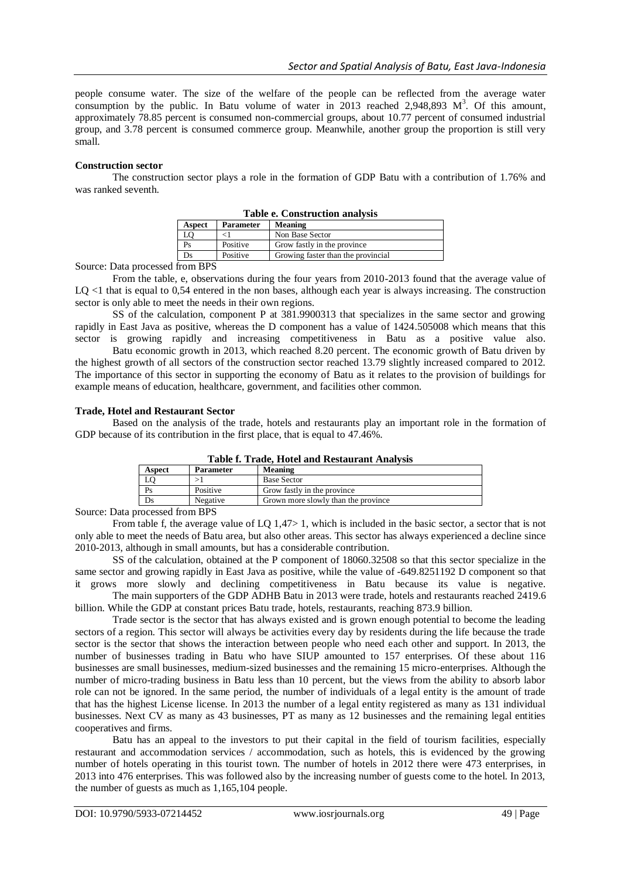people consume water. The size of the welfare of the people can be reflected from the average water consumption by the public. In Batu volume of water in 2013 reached 2,948,893  $M^3$ . Of this amount, approximately 78.85 percent is consumed non-commercial groups, about 10.77 percent of consumed industrial group, and 3.78 percent is consumed commerce group. Meanwhile, another group the proportion is still very small.

## **Construction sector**

The construction sector plays a role in the formation of GDP Batu with a contribution of 1.76% and was ranked seventh.

| <b>Table e. Construction analysis</b> |                  |                                    |
|---------------------------------------|------------------|------------------------------------|
| Aspect                                | <b>Parameter</b> | Meaning                            |
|                                       |                  | Non Base Sector                    |
| Ps                                    | Positive         | Grow fastly in the province        |
|                                       | Positive         | Growing faster than the provincial |

Source: Data processed from BPS

From the table, e, observations during the four years from 2010-2013 found that the average value of LQ <1 that is equal to 0,54 entered in the non bases, although each year is always increasing. The construction sector is only able to meet the needs in their own regions.

SS of the calculation, component P at 381.9900313 that specializes in the same sector and growing rapidly in East Java as positive, whereas the D component has a value of 1424.505008 which means that this sector is growing rapidly and increasing competitiveness in Batu as a positive value also.

Batu economic growth in 2013, which reached 8.20 percent. The economic growth of Batu driven by the highest growth of all sectors of the construction sector reached 13.79 slightly increased compared to 2012. The importance of this sector in supporting the economy of Batu as it relates to the provision of buildings for example means of education, healthcare, government, and facilities other common.

## **Trade, Hotel and Restaurant Sector**

Based on the analysis of the trade, hotels and restaurants play an important role in the formation of GDP because of its contribution in the first place, that is equal to 47.46%.

| Table I. Trade, flotel and Restaurant Analysis |                  |                                     |
|------------------------------------------------|------------------|-------------------------------------|
| <b>Aspect</b>                                  | <b>Parameter</b> | <b>Meaning</b>                      |
|                                                |                  | <b>Base Sector</b>                  |
|                                                | Positive         | Grow fastly in the province         |
|                                                | Negative         | Grown more slowly than the province |

**Table f. Trade, Hotel and Restaurant Analysis**

Source: Data processed from BPS

From table f, the average value of LQ 1,47> 1, which is included in the basic sector, a sector that is not only able to meet the needs of Batu area, but also other areas. This sector has always experienced a decline since 2010-2013, although in small amounts, but has a considerable contribution.

SS of the calculation, obtained at the P component of 18060.32508 so that this sector specialize in the same sector and growing rapidly in East Java as positive, while the value of -649.8251192 D component so that it grows more slowly and declining competitiveness in Batu because its value is negative.

The main supporters of the GDP ADHB Batu in 2013 were trade, hotels and restaurants reached 2419.6 billion. While the GDP at constant prices Batu trade, hotels, restaurants, reaching 873.9 billion.

Trade sector is the sector that has always existed and is grown enough potential to become the leading sectors of a region. This sector will always be activities every day by residents during the life because the trade sector is the sector that shows the interaction between people who need each other and support. In 2013, the number of businesses trading in Batu who have SIUP amounted to 157 enterprises. Of these about 116 businesses are small businesses, medium-sized businesses and the remaining 15 micro-enterprises. Although the number of micro-trading business in Batu less than 10 percent, but the views from the ability to absorb labor role can not be ignored. In the same period, the number of individuals of a legal entity is the amount of trade that has the highest License license. In 2013 the number of a legal entity registered as many as 131 individual businesses. Next CV as many as 43 businesses, PT as many as 12 businesses and the remaining legal entities cooperatives and firms.

Batu has an appeal to the investors to put their capital in the field of tourism facilities, especially restaurant and accommodation services / accommodation, such as hotels, this is evidenced by the growing number of hotels operating in this tourist town. The number of hotels in 2012 there were 473 enterprises, in 2013 into 476 enterprises. This was followed also by the increasing number of guests come to the hotel. In 2013, the number of guests as much as 1,165,104 people.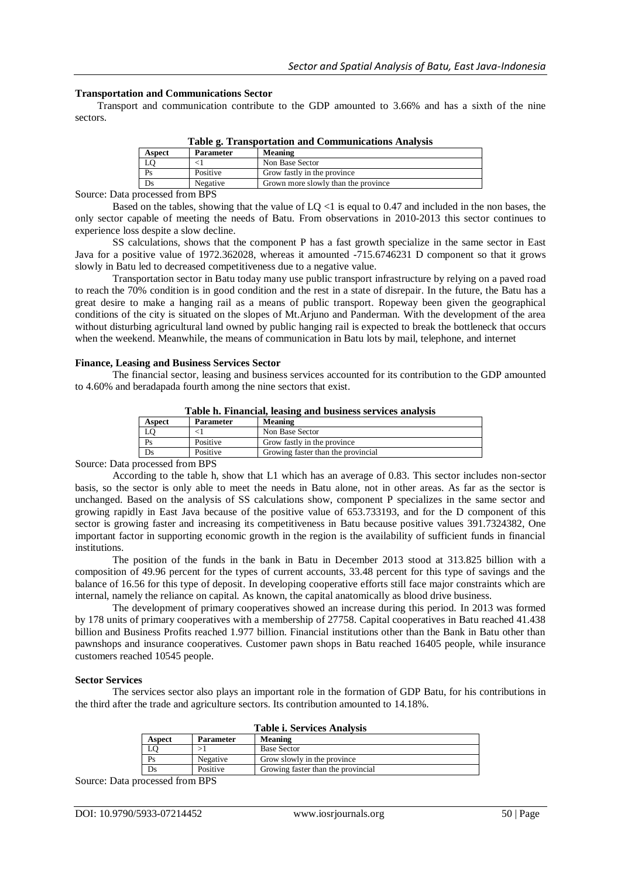### **Transportation and Communications Sector**

Transport and communication contribute to the GDP amounted to 3.66% and has a sixth of the nine sectors.

| Table g. Transportation and Communications Analysis |                  |                                     |
|-----------------------------------------------------|------------------|-------------------------------------|
| <b>Aspect</b>                                       | <b>Parameter</b> | <b>Meaning</b>                      |
| LO                                                  |                  | Non Base Sector                     |
| Ps                                                  | Positive         | Grow fastly in the province         |
| Ds                                                  | Negative         | Grown more slowly than the province |

**Table g. Transportation and Communications Analysis**

Source: Data processed from BPS

Based on the tables, showing that the value of LQ <1 is equal to 0.47 and included in the non bases, the only sector capable of meeting the needs of Batu. From observations in 2010-2013 this sector continues to experience loss despite a slow decline.

SS calculations, shows that the component P has a fast growth specialize in the same sector in East Java for a positive value of 1972.362028, whereas it amounted -715.6746231 D component so that it grows slowly in Batu led to decreased competitiveness due to a negative value.

Transportation sector in Batu today many use public transport infrastructure by relying on a paved road to reach the 70% condition is in good condition and the rest in a state of disrepair. In the future, the Batu has a great desire to make a hanging rail as a means of public transport. Ropeway been given the geographical conditions of the city is situated on the slopes of Mt.Arjuno and Panderman. With the development of the area without disturbing agricultural land owned by public hanging rail is expected to break the bottleneck that occurs when the weekend. Meanwhile, the means of communication in Batu lots by mail, telephone, and internet

#### **Finance, Leasing and Business Services Sector**

The financial sector, leasing and business services accounted for its contribution to the GDP amounted to 4.60% and beradapada fourth among the nine sectors that exist.

| Aspect | <b>Parameter</b> | <b>Meaning</b>                     |
|--------|------------------|------------------------------------|
|        |                  | Non Base Sector                    |
| Ps     | Positive         | Grow fastly in the province        |
| Ds     | Positive         | Growing faster than the provincial |
| $\sim$ | ---              |                                    |

Source: Data processed from BPS

According to the table h, show that L1 which has an average of 0.83. This sector includes non-sector basis, so the sector is only able to meet the needs in Batu alone, not in other areas. As far as the sector is unchanged. Based on the analysis of SS calculations show, component P specializes in the same sector and growing rapidly in East Java because of the positive value of 653.733193, and for the D component of this sector is growing faster and increasing its competitiveness in Batu because positive values 391.7324382, One important factor in supporting economic growth in the region is the availability of sufficient funds in financial institutions.

The position of the funds in the bank in Batu in December 2013 stood at 313.825 billion with a composition of 49.96 percent for the types of current accounts, 33.48 percent for this type of savings and the balance of 16.56 for this type of deposit. In developing cooperative efforts still face major constraints which are internal, namely the reliance on capital. As known, the capital anatomically as blood drive business.

The development of primary cooperatives showed an increase during this period. In 2013 was formed by 178 units of primary cooperatives with a membership of 27758. Capital cooperatives in Batu reached 41.438 billion and Business Profits reached 1.977 billion. Financial institutions other than the Bank in Batu other than pawnshops and insurance cooperatives. Customer pawn shops in Batu reached 16405 people, while insurance customers reached 10545 people.

#### **Sector Services**

The services sector also plays an important role in the formation of GDP Batu, for his contributions in the third after the trade and agriculture sectors. Its contribution amounted to 14.18%.

| Table I. Bet vices Analysis<br>Meaning<br><b>Parameter</b><br>Aspect |          |                                    |  |
|----------------------------------------------------------------------|----------|------------------------------------|--|
|                                                                      |          | <b>Base Sector</b>                 |  |
| Ps                                                                   | Negative | Grow slowly in the province        |  |
| Ds                                                                   | Positive | Growing faster than the provincial |  |

**Table i. Services Analysis**

Source: Data processed from BPS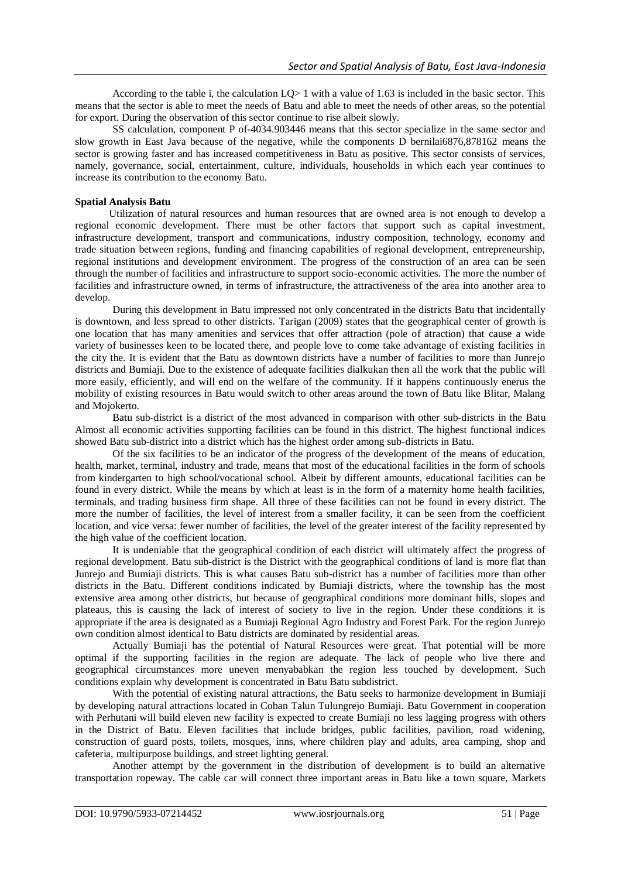According to the table i, the calculation  $LO > 1$  with a value of 1.63 is included in the basic sector. This means that the sector is able to meet the needs of Batu and able to meet the needs of other areas, so the potential for export. During the observation of this sector continue to rise albeit slowly.

SS calculation, component P of-4034.903446 means that this sector specialize in the same sector and slow growth in East Java because of the negative, while the components D bernilai6876,878162 means the sector is growing faster and has increased competitiveness in Batu as positive. This sector consists of services, namely, governance, social, entertainment, culture, individuals, households in which each year continues to increase its contribution to the economy Batu.

## **Spatial Analysis Batu**

Utilization of natural resources and human resources that are owned area is not enough to develop a regional economic development. There must be other factors that support such as capital investment, infrastructure development, transport and communications, industry composition, technology, economy and trade situation between regions, funding and financing capabilities of regional development, entrepreneurship, regional institutions and development environment. The progress of the construction of an area can be seen through the number of facilities and infrastructure to support socio-economic activities. The more the number of facilities and infrastructure owned, in terms of infrastructure, the attractiveness of the area into another area to develop.

During this development in Batu impressed not only concentrated in the districts Batu that incidentally is downtown, and less spread to other districts. Tarigan (2009) states that the geographical center of growth is one location that has many amenities and services that offer attraction (pole of atraction) that cause a wide variety of businesses keen to be located there, and people love to come take advantage of existing facilities in the city the. It is evident that the Batu as downtown districts have a number of facilities to more than Junrejo districts and Bumiaji. Due to the existence of adequate facilities dialkukan then all the work that the public will more easily, efficiently, and will end on the welfare of the community. If it happens continuously enerus the mobility of existing resources in Batu would switch to other areas around the town of Batu like Blitar, Malang and Mojokerto.

Batu sub-district is a district of the most advanced in comparison with other sub-districts in the Batu Almost all economic activities supporting facilities can be found in this district. The highest functional indices showed Batu sub-district into a district which has the highest order among sub-districts in Batu.

Of the six facilities to be an indicator of the progress of the development of the means of education, health, market, terminal, industry and trade, means that most of the educational facilities in the form of schools from kindergarten to high school/vocational school. Albeit by different amounts, educational facilities can be found in every district. While the means by which at least is in the form of a maternity home health facilities, terminals, and trading business firm shape. All three of these facilities can not be found in every district. The more the number of facilities, the level of interest from a smaller facility, it can be seen from the coefficient location, and vice versa: fewer number of facilities, the level of the greater interest of the facility represented by the high value of the coefficient location.

It is undeniable that the geographical condition of each district will ultimately affect the progress of regional development. Batu sub-district is the District with the geographical conditions of land is more flat than Junrejo and Bumiaji districts. This is what causes Batu sub-district has a number of facilities more than other districts in the Batu. Different conditions indicated by Bumiaji districts, where the township has the most extensive area among other districts, but because of geographical conditions more dominant hills, slopes and plateaus, this is causing the lack of interest of society to live in the region. Under these conditions it is appropriate if the area is designated as a Bumiaji Regional Agro Industry and Forest Park. For the region Junrejo own condition almost identical to Batu districts are dominated by residential areas.

Actually Bumiaji has the potential of Natural Resources were great. That potential will be more optimal if the supporting facilities in the region are adequate. The lack of people who live there and geographical circumstances more uneven menyababkan the region less touched by development. Such conditions explain why development is concentrated in Batu Batu subdistrict.

With the potential of existing natural attractions, the Batu seeks to harmonize development in Bumiaji by developing natural attractions located in Coban Talun Tulungrejo Bumiaji. Batu Government in cooperation with Perhutani will build eleven new facility is expected to create Bumiaji no less lagging progress with others in the District of Batu. Eleven facilities that include bridges, public facilities, pavilion, road widening, construction of guard posts, toilets, mosques, inns, where children play and adults, area camping, shop and cafeteria, multipurpose buildings, and street lighting general.

Another attempt by the government in the distribution of development is to build an alternative transportation ropeway. The cable car will connect three important areas in Batu like a town square, Markets